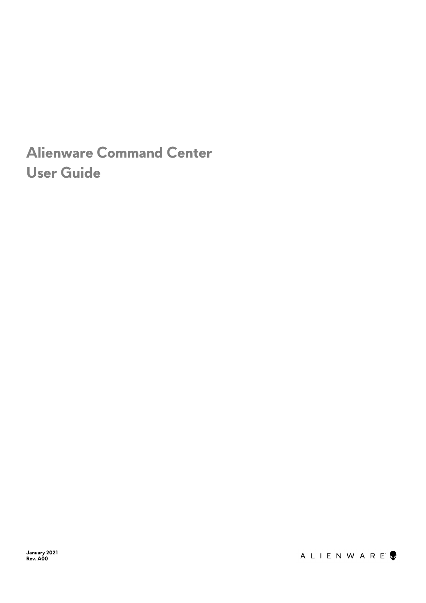## **Alienware Command Center User Guide**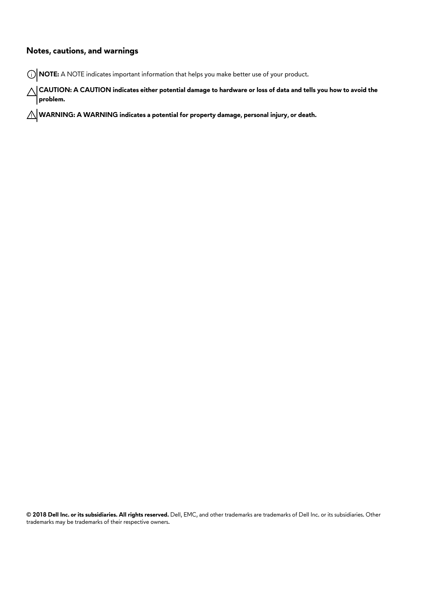#### **Notes, cautions, and warnings**

**NOTE:** A NOTE indicates important information that helps you make better use of your product.

 $\bigtriangleup$  CAUTION: A CAUTION indicates either potential damage to hardware or loss of data and tells you how to avoid the **problem.**

**WARNING: A WARNING indicates a potential for property damage, personal injury, or death.**

**© 2018 Dell Inc. or its subsidiaries. All rights reserved.** Dell, EMC, and other trademarks are trademarks of Dell Inc. or its subsidiaries. Other trademarks may be trademarks of their respective owners.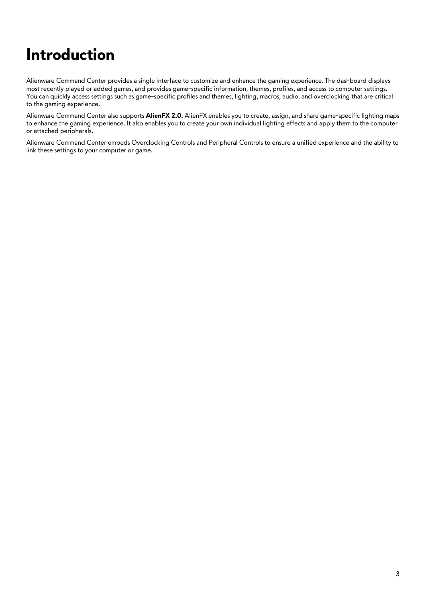## **Introduction**

Alienware Command Center provides a single interface to customize and enhance the gaming experience. The dashboard displays most recently played or added games, and provides game-specific information, themes, profiles, and access to computer settings. You can quickly access settings such as game-specific profiles and themes, lighting, macros, audio, and overclocking that are critical to the gaming experience.

Alienware Command Center also supports **AlienFX 2.0**. AlienFX enables you to create, assign, and share game-specific lighting maps to enhance the gaming experience. It also enables you to create your own individual lighting effects and apply them to the computer or attached peripherals.

Alienware Command Center embeds Overclocking Controls and Peripheral Controls to ensure a unified experience and the ability to link these settings to your computer or game.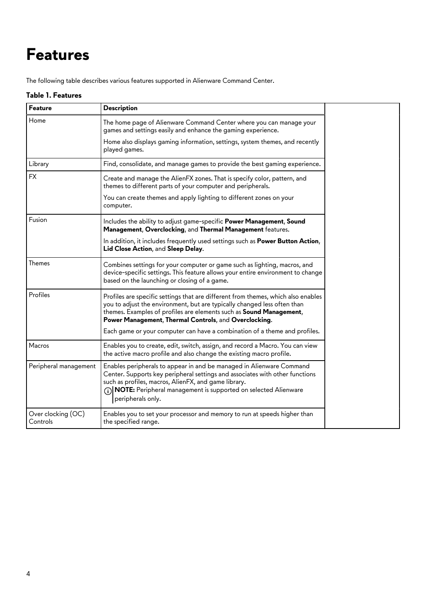## **Features**

The following table describes various features supported in Alienware Command Center.

#### **Table 1. Features**

| Feature                        | <b>Description</b>                                                                                                                                                                                                                                                                                                        |
|--------------------------------|---------------------------------------------------------------------------------------------------------------------------------------------------------------------------------------------------------------------------------------------------------------------------------------------------------------------------|
| Home                           | The home page of Alienware Command Center where you can manage your<br>games and settings easily and enhance the gaming experience.                                                                                                                                                                                       |
|                                | Home also displays gaming information, settings, system themes, and recently<br>played games.                                                                                                                                                                                                                             |
| Library                        | Find, consolidate, and manage games to provide the best gaming experience.                                                                                                                                                                                                                                                |
| <b>FX</b>                      | Create and manage the AlienFX zones. That is specify color, pattern, and<br>themes to different parts of your computer and peripherals.                                                                                                                                                                                   |
|                                | You can create themes and apply lighting to different zones on your<br>computer.                                                                                                                                                                                                                                          |
| Fusion                         | Includes the ability to adjust game-specific Power Management, Sound<br>Management, Overclocking, and Thermal Management features.                                                                                                                                                                                        |
|                                | In addition, it includes frequently used settings such as Power Button Action,<br>Lid Close Action, and Sleep Delay.                                                                                                                                                                                                      |
| Themes                         | Combines settings for your computer or game such as lighting, macros, and<br>device-specific settings. This feature allows your entire environment to change<br>based on the launching or closing of a game.                                                                                                              |
| Profiles                       | Profiles are specific settings that are different from themes, which also enables<br>you to adjust the environment, but are typically changed less often than<br>themes. Examples of profiles are elements such as Sound Management,<br>Power Management, Thermal Controls, and Overclocking.                             |
|                                | Each game or your computer can have a combination of a theme and profiles.                                                                                                                                                                                                                                                |
| Macros                         | Enables you to create, edit, switch, assign, and record a Macro. You can view<br>the active macro profile and also change the existing macro profile.                                                                                                                                                                     |
| Peripheral management          | Enables peripherals to appear in and be managed in Alienware Command<br>Center. Supports key peripheral settings and associates with other functions<br>such as profiles, macros, AlienFX, and game library.<br>$\binom{1}{1}$ <b>NOTE:</b> Peripheral management is supported on selected Alienware<br>peripherals only. |
| Over clocking (OC)<br>Controls | Enables you to set your processor and memory to run at speeds higher than<br>the specified range.                                                                                                                                                                                                                         |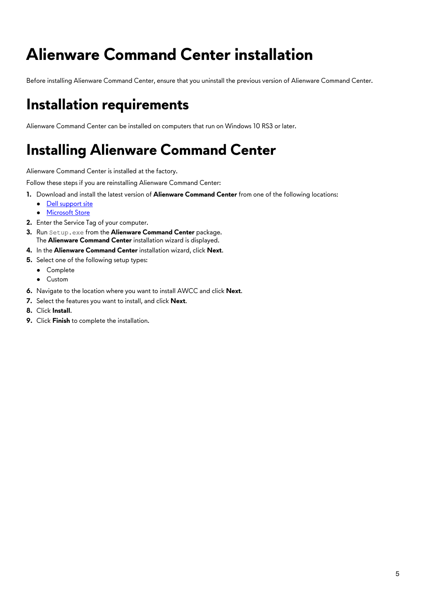# **Alienware Command Center installation**

Before installing Alienware Command Center, ensure that you uninstall the previous version of Alienware Command Center.

## **Installation requirements**

Alienware Command Center can be installed on computers that run on Windows 10 RS3 or later.

## **Installing Alienware Command Center**

Alienware Command Center is installed at the factory.

Follow these steps if you are reinstalling Alienware Command Center:

- **1.** Download and install the latest version of **Alienware Command Center** from one of the following locations:
	- [Dell support site](http://http://www.dell.com/support/home)
	- [Microsoft Store](http://www.microsoft.com/store)
- **2.** Enter the Service Tag of your computer.
- **3.** Run Setup.exe from the Alienware Command Center package. The **Alienware Command Center** installation wizard is displayed.
- **4.** In the **Alienware Command Center** installation wizard, click **Next**.
- **5.** Select one of the following setup types:
	- Complete
	- Custom
- **6.** Navigate to the location where you want to install AWCC and click **Next**.
- **7.** Select the features you want to install, and click **Next**.
- **8.** Click **Install**.
- **9.** Click **Finish** to complete the installation.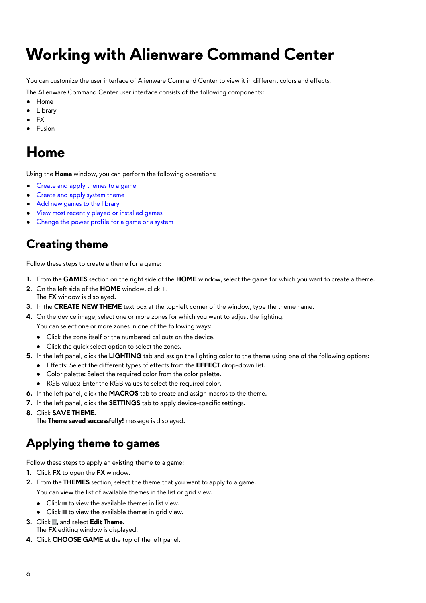# <span id="page-5-0"></span>**Working with Alienware Command Center**

You can customize the user interface of Alienware Command Center to view it in different colors and effects.

The Alienware Command Center user interface consists of the following components:

- Home
- Library
- FX
- **Fusion**

## **Home**

Using the **Home** window, you can perform the following operations:

- Create and apply themes to a game
- Create and apply system theme
- [Add new games to the library](#page-6-0)
- [View most recently played or installed games](#page-7-0)
- [Change the power profile for a game or a system](#page-7-0)

#### **Creating theme**

Follow these steps to create a theme for a game:

- **1.** From the **GAMES** section on the right side of the **HOME** window, select the game for which you want to create a theme.
- On the left side of the **HOME** window, click +. The **FX** window is displayed.
- **3.** In the **CREATE NEW THEME** text box at the top-left corner of the window, type the theme name.
- **4.** On the device image, select one or more zones for which you want to adjust the lighting. You can select one or more zones in one of the following ways:
	- Click the zone itself or the numbered callouts on the device.
	- Click the quick select option to select the zones.
- **5.** In the left panel, click the **LIGHTING** tab and assign the lighting color to the theme using one of the following options:
	- Effects: Select the different types of effects from the **EFFECT** drop-down list.
	- Color palette: Select the required color from the color palette.
	- RGB values: Enter the RGB values to select the required color.
- **6.** In the left panel, click the **MACROS** tab to create and assign macros to the theme.
- **7.** In the left panel, click the **SETTINGS** tab to apply device-specific settings.
- **8.** Click **SAVE THEME**.

The **Theme saved successfully!** message is displayed.

#### **Applying theme to games**

Follow these steps to apply an existing theme to a game:

- **1.** Click **FX** to open the **FX** window.
- **2.** From the **THEMES** section, select the theme that you want to apply to a game. You can view the list of available themes in the list or grid view.
	- $\bullet$  Click  $\equiv$  to view the available themes in list view.
	- Click **II** to view the available themes in grid view.
- **3.** Click **.**, and select **Edit Theme.** The **FX** editing window is displayed.
- **4.** Click **CHOOSE GAME** at the top of the left panel.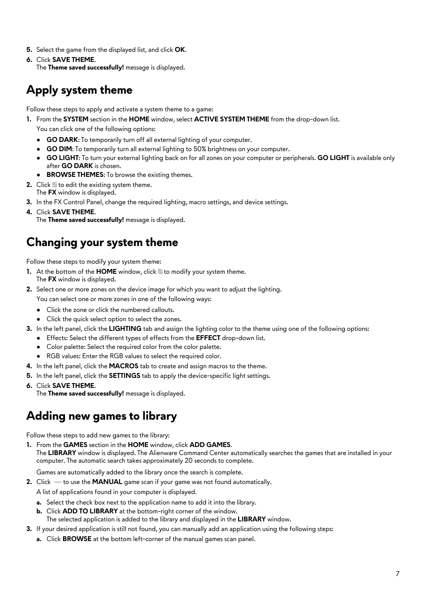- <span id="page-6-0"></span>**5.** Select the game from the displayed list, and click **OK**.
- **6.** Click **SAVE THEME**. The **Theme saved successfully!** message is displayed.

#### **Apply system theme**

Follow these steps to apply and activate a system theme to a game:

**1.** From the **SYSTEM** section in the **HOME** window, select **ACTIVE SYSTEM THEME** from the drop-down list.

You can click one of the following options:

- **GO DARK:** To temporarily turn off all external lighting of your computer.
- GO DIM: To temporarily turn all external lighting to 50% brightness on your computer.
- **GO LIGHT**: To turn your external lighting back on for all zones on your computer or peripherals. **GO LIGHT** is available only after **GO DARK** is chosen.
- **BROWSE THEMES:** To browse the existing themes.
- **2.** Click **to edit the existing system theme.** The **FX** window is displayed.
- **3.** In the FX Control Panel, change the required lighting, macro settings, and device settings.
- **4.** Click **SAVE THEME**. The **Theme saved successfully!** message is displayed.

#### **Changing your system theme**

Follow these steps to modify your system theme:

- **1.** At the bottom of the **HOME** window, click to modify your system theme. The **FX** window is displayed.
- **2.** Select one or more zones on the device image for which you want to adjust the lighting. You can select one or more zones in one of the following ways:
	- Click the zone or click the numbered callouts.
	- Click the quick select option to select the zones.
- **3.** In the left panel, click the **LIGHTING** tab and assign the lighting color to the theme using one of the following options:
	- Effects: Select the different types of effects from the **EFFECT** drop-down list.
	- Color palette: Select the required color from the color palette.
	- RGB values: Enter the RGB values to select the required color.
- **4.** In the left panel, click the **MACROS** tab to create and assign macros to the theme.
- **5.** In the left panel, click the **SETTINGS** tab to apply the device-specific light settings.
- **6.** Click **SAVE THEME**.

The **Theme saved successfully!** message is displayed.

#### **Adding new games to library**

Follow these steps to add new games to the library:

**1.** From the **GAMES** section in the **HOME** window, click **ADD GAMES**.

The **LIBRARY** window is displayed. The Alienware Command Center automatically searches the games that are installed in your computer. The automatic search takes approximately 20 seconds to complete.

Games are automatically added to the library once the search is complete.

**2.** Click sample to use the **MANUAL** game scan if your game was not found automatically.

A list of applications found in your computer is displayed.

- **a.** Select the check box next to the application name to add it into the library.
- **b.** Click **ADD TO LIBRARY** at the bottom-right corner of the window.
- The selected application is added to the library and displayed in the **LIBRARY** window.
- **3.** If your desired application is still not found, you can manually add an application using the following steps:
	- **a.** Click **BROWSE** at the bottom left-corner of the manual games scan panel.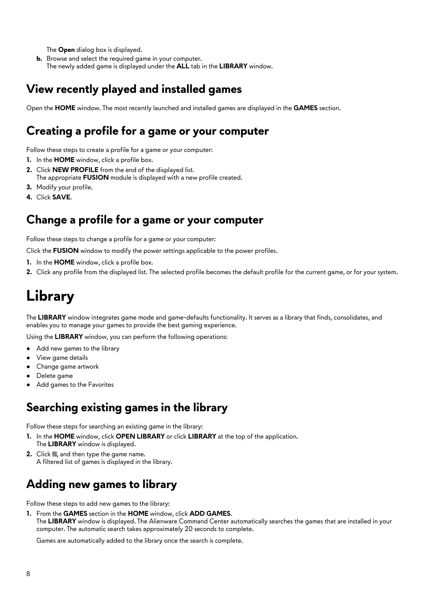<span id="page-7-0"></span>The **Open** dialog box is displayed.

**b.** Browse and select the required game in your computer. The newly added game is displayed under the **ALL** tab in the **LIBRARY** window.

#### **View recently played and installed games**

Open the **HOME** window. The most recently launched and installed games are displayed in the **GAMES** section.

#### **Creating a profile for a game or your computer**

Follow these steps to create a profile for a game or your computer:

- **1.** In the **HOME** window, click a profile box.
- **2.** Click **NEW PROFILE** from the end of the displayed list.
	- The appropriate **FUSION** module is displayed with a new profile created.
- **3.** Modify your profile.
- **4.** Click **SAVE**.

#### **Change a profile for a game or your computer**

Follow these steps to change a profile for a game or your computer:

Click the **FUSION** window to modify the power settings applicable to the power profiles.

- **1.** In the **HOME** window, click a profile box.
- **2.** Click any profile from the displayed list. The selected profile becomes the default profile for the current game, or for your system.

## **Library**

The **LIBRARY** window integrates game mode and game-defaults functionality. It serves as a library that finds, consolidates, and enables you to manage your games to provide the best gaming experience.

Using the **LIBRARY** window, you can perform the following operations:

- Add new games to the library
- View game details
- Change game artwork
- Delete game
- Add games to the Favorites

#### **Searching existing games in the library**

Follow these steps for searching an existing game in the library:

- **1.** In the **HOME** window, click **OPEN LIBRARY** or click **LIBRARY** at the top of the application. The **LIBRARY** window is displayed.
- **2.** Click **a**, and then type the game name. A filtered list of games is displayed in the library.

#### **Adding new games to library**

Follow these steps to add new games to the library:

**1.** From the **GAMES** section in the **HOME** window, click **ADD GAMES**. The **LIBRARY** window is displayed. The Alienware Command Center automatically searches the games that are installed in your computer. The automatic search takes approximately 20 seconds to complete.

Games are automatically added to the library once the search is complete.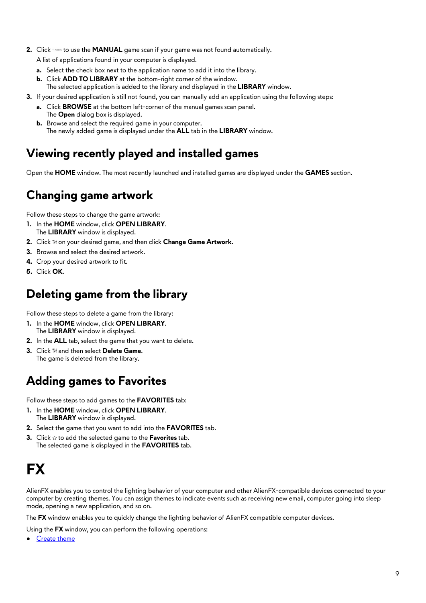- **2.** Click state to use the **MANUAL** game scan if your game was not found automatically.
	- A list of applications found in your computer is displayed.
	- **a.** Select the check box next to the application name to add it into the library.
	- **b.** Click **ADD TO LIBRARY** at the bottom-right corner of the window.
	- The selected application is added to the library and displayed in the **LIBRARY** window.
- **3.** If your desired application is still not found, you can manually add an application using the following steps:
	- **a.** Click **BROWSE** at the bottom left-corner of the manual games scan panel. The **Open** dialog box is displayed.
	- **b.** Browse and select the required game in your computer. The newly added game is displayed under the **ALL** tab in the **LIBRARY** window.

#### **Viewing recently played and installed games**

Open the **HOME** window. The most recently launched and installed games are displayed under the **GAMES** section.

#### **Changing game artwork**

Follow these steps to change the game artwork:

- **1.** In the **HOME** window, click **OPEN LIBRARY**. The **LIBRARY** window is displayed.
- **2.** Click  $\mathbb{N}$  on your desired game, and then click **Change Game Artwork**.
- **3.** Browse and select the desired artwork.
- **4.** Crop your desired artwork to fit.
- **5.** Click **OK**.

#### **Deleting game from the library**

Follow these steps to delete a game from the library:

- **1.** In the **HOME** window, click **OPEN LIBRARY**. The **LIBRARY** window is displayed.
- **2.** In the **ALL** tab, select the game that you want to delete.
- **3.** Click  $\mathbb{N}$  and then select Delete Game. The game is deleted from the library.

#### **Adding games to Favorites**

Follow these steps to add games to the **FAVORITES** tab:

- **1.** In the **HOME** window, click **OPEN LIBRARY**. The **LIBRARY** window is displayed.
- **2.** Select the game that you want to add into the **FAVORITES** tab.
- **3.** Click  $\hat{\alpha}$  to add the selected game to the **Favorites** tab. The selected game is displayed in the **FAVORITES** tab.

## **FX**

AlienFX enables you to control the lighting behavior of your computer and other AlienFX-compatible devices connected to your computer by creating themes. You can assign themes to indicate events such as receiving new email, computer going into sleep mode, opening a new application, and so on.

The **FX** window enables you to quickly change the lighting behavior of AlienFX compatible computer devices.

Using the **FX** window, you can perform the following operations:

**[Create theme](#page-5-0)**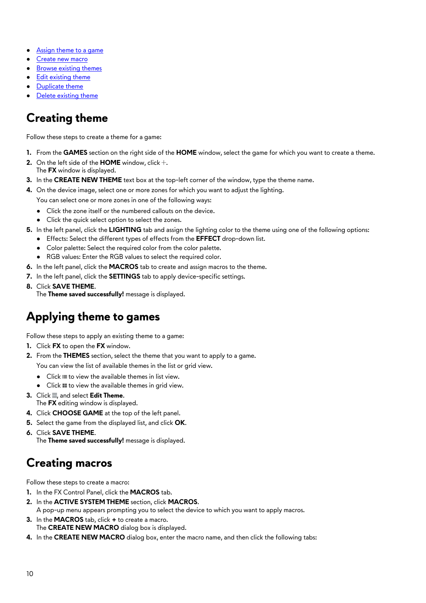- [Assign theme to a game](#page-5-0)
- Create new macro
- **[Browse existing themes](#page-10-0)**
- [Edit existing theme](#page-10-0)
- **[Duplicate theme](#page-10-0)**
- [Delete existing theme](#page-10-0)

#### **Creating theme**

Follow these steps to create a theme for a game:

- **1.** From the **GAMES** section on the right side of the **HOME** window, select the game for which you want to create a theme.
- **2.** On the left side of the  $HOME$  window, click  $+$ . The **FX** window is displayed.
- **3.** In the **CREATE NEW THEME** text box at the top-left corner of the window, type the theme name.
- **4.** On the device image, select one or more zones for which you want to adjust the lighting.

You can select one or more zones in one of the following ways:

- Click the zone itself or the numbered callouts on the device.
- Click the quick select option to select the zones.
- **5.** In the left panel, click the **LIGHTING** tab and assign the lighting color to the theme using one of the following options:
	- Effects: Select the different types of effects from the **EFFECT** drop-down list.
	- Color palette: Select the required color from the color palette.
	- RGB values: Enter the RGB values to select the required color.
- **6.** In the left panel, click the **MACROS** tab to create and assign macros to the theme.
- **7.** In the left panel, click the **SETTINGS** tab to apply device-specific settings.
- **8.** Click **SAVE THEME**. The **Theme saved successfully!** message is displayed.

#### **Applying theme to games**

Follow these steps to apply an existing theme to a game:

- **1.** Click **FX** to open the **FX** window.
- **2.** From the **THEMES** section, select the theme that you want to apply to a game. You can view the list of available themes in the list or grid view.
	- $\bullet$  Click  $\equiv$  to view the available themes in list view.
	- $\bullet$  Click  $\blacksquare$  to view the available themes in grid view.
- **3.** Click **.**, and select **Edit Theme.** The **FX** editing window is displayed.
- **4.** Click **CHOOSE GAME** at the top of the left panel.
- **5.** Select the game from the displayed list, and click **OK**.
- **6.** Click **SAVE THEME**. The **Theme saved successfully!** message is displayed.

#### **Creating macros**

Follow these steps to create a macro:

- **1.** In the FX Control Panel, click the **MACROS** tab.
- **2.** In the **ACTIVE SYSTEM THEME** section, click **MACROS**. A pop-up menu appears prompting you to select the device to which you want to apply macros.
- **3.** In the **MACROS** tab, click **+** to create a macro. The **CREATE NEW MACRO** dialog box is displayed.
- **4.** In the **CREATE NEW MACRO** dialog box, enter the macro name, and then click the following tabs: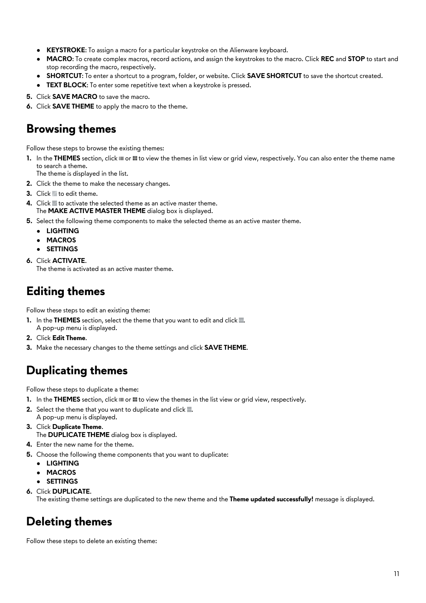- <span id="page-10-0"></span>**• KEYSTROKE:** To assign a macro for a particular keystroke on the Alienware keyboard.
- **MACRO**: To create complex macros, record actions, and assign the keystrokes to the macro. Click **REC** and **STOP** to start and stop recording the macro, respectively.
- **SHORTCUT:** To enter a shortcut to a program, folder, or website. Click **SAVE SHORTCUT** to save the shortcut created.
- **TEXT BLOCK:** To enter some repetitive text when a keystroke is pressed.
- **5.** Click **SAVE MACRO** to save the macro.
- **6.** Click **SAVE THEME** to apply the macro to the theme.

#### **Browsing themes**

Follow these steps to browse the existing themes:

1. In the **THEMES** section, click in or in to view the themes in list view or grid view, respectively. You can also enter the theme name to search a theme.

The theme is displayed in the list.

- **2.** Click the theme to make the necessary changes.
- **3.** Click to edit theme.
- **4.** Click to activate the selected theme as an active master theme. The **MAKE ACTIVE MASTER THEME** dialog box is displayed.
- **5.** Select the following theme components to make the selected theme as an active master theme.
	- **LIGHTING**
	- **MACROS**
	- **SETTINGS**
- **6.** Click **ACTIVATE**. The theme is activated as an active master theme.

#### **Editing themes**

Follow these steps to edit an existing theme:

- **1.** In the **THEMES** section, select the theme that you want to edit and click ... A pop-up menu is displayed.
- **2.** Click **Edit Theme**.
- **3.** Make the necessary changes to the theme settings and click **SAVE THEME**.

## **Duplicating themes**

Follow these steps to duplicate a theme:

- **1.** In the **THEMES** section, click  $\equiv$  or  $\equiv$  to view the themes in the list view or grid view, respectively.
- **2.** Select the theme that you want to duplicate and click ... A pop-up menu is displayed.
- **3.** Click **Duplicate Theme**. The **DUPLICATE THEME** dialog box is displayed.
- **4.** Enter the new name for the theme.
- **5.** Choose the following theme components that you want to duplicate:
	- **LIGHTING**
	- **MACROS**
	- **SETTINGS**
- **6.** Click **DUPLICATE**.

The existing theme settings are duplicated to the new theme and the **Theme updated successfully!** message is displayed.

#### **Deleting themes**

Follow these steps to delete an existing theme: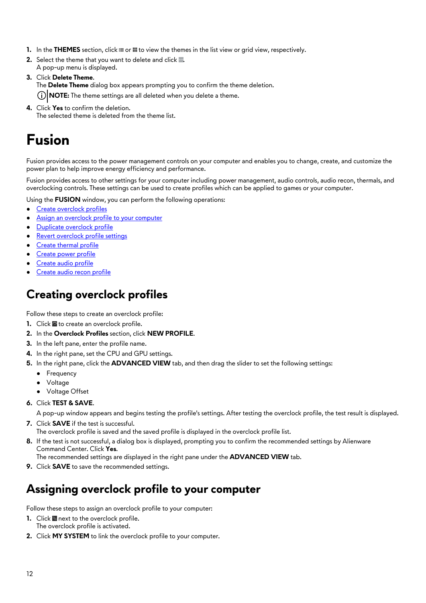- **1.** In the **THEMES** section, click  $\equiv$  or  $\equiv$  to view the themes in the list view or grid view, respectively.
- **2.** Select the theme that you want to delete and click ... A pop-up menu is displayed.
- **3.** Click **Delete Theme**.

The **Delete Theme** dialog box appears prompting you to confirm the theme deletion.

**NOTE:** The theme settings are all deleted when you delete a theme.

**4.** Click **Yes** to confirm the deletion. The selected theme is deleted from the theme list.

## **Fusion**

Fusion provides access to the power management controls on your computer and enables you to change, create, and customize the power plan to help improve energy efficiency and performance.

Fusion provides access to other settings for your computer including power management, audio controls, audio recon, thermals, and overclocking controls. These settings can be used to create profiles which can be applied to games or your computer.

- Using the **FUSION** window, you can perform the following operations:
- Create overclock profiles
- Assign an overclock profile to your computer
- [Duplicate overclock profile](#page-12-0)
- **[Revert overclock profile settings](#page-12-0)**
- [Create thermal profile](#page-12-0)
- [Create power profile](#page-12-0)
- [Create audio profile](#page-13-0)
- [Create audio recon profile](#page-13-0)

#### **Creating overclock profiles**

Follow these steps to create an overclock profile:

- **1.** Click **to** create an overclock profile.
- **2.** In the **Overclock Profiles** section, click **NEW PROFILE**.
- **3.** In the left pane, enter the profile name.
- **4.** In the right pane, set the CPU and GPU settings.
- **5.** In the right pane, click the **ADVANCED VIEW** tab, and then drag the slider to set the following settings:
	- Frequency
	- Voltage
	- Voltage Offset
- **6.** Click **TEST & SAVE**.

A pop-up window appears and begins testing the profile's settings. After testing the overclock profile, the test result is displayed.

**7.** Click **SAVE** if the test is successful.

The overclock profile is saved and the saved profile is displayed in the overclock profile list.

**8.** If the test is not successful, a dialog box is displayed, prompting you to confirm the recommended settings by Alienware Command Center. Click **Yes**.

The recommended settings are displayed in the right pane under the **ADVANCED VIEW** tab.

**9.** Click **SAVE** to save the recommended settings.

#### **Assigning overclock profile to your computer**

Follow these steps to assign an overclock profile to your computer:

- **1.** Click **n**ext to the overclock profile. The overclock profile is activated.
- **2.** Click **MY SYSTEM** to link the overclock profile to your computer.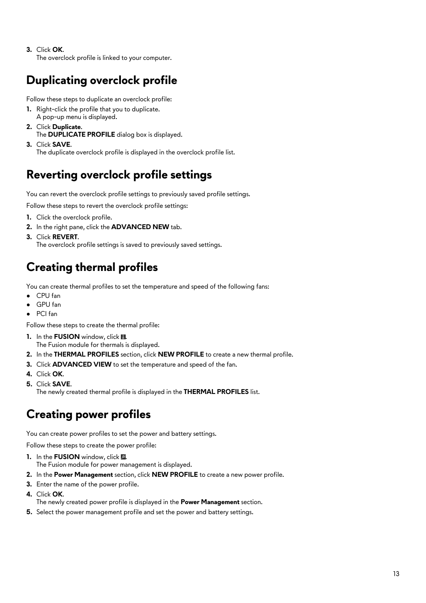<span id="page-12-0"></span>**3.** Click **OK**.

The overclock profile is linked to your computer.

## **Duplicating overclock profile**

Follow these steps to duplicate an overclock profile:

- **1.** Right-click the profile that you to duplicate. A pop-up menu is displayed.
- **2.** Click **Duplicate**. The **DUPLICATE PROFILE** dialog box is displayed.
- **3.** Click **SAVE**.

The duplicate overclock profile is displayed in the overclock profile list.

## **Reverting overclock profile settings**

You can revert the overclock profile settings to previously saved profile settings.

Follow these steps to revert the overclock profile settings:

- **1.** Click the overclock profile.
- **2.** In the right pane, click the **ADVANCED NEW** tab.
- **3.** Click **REVERT**. The overclock profile settings is saved to previously saved settings.

#### **Creating thermal profiles**

You can create thermal profiles to set the temperature and speed of the following fans:

- CPU fan
- GPU fan
- PCI fan

Follow these steps to create the thermal profile:

- 1. In the **FUSION** window, click ... The Fusion module for thermals is displayed.
- **2.** In the **THERMAL PROFILES** section, click **NEW PROFILE** to create a new thermal profile.
- **3.** Click **ADVANCED VIEW** to set the temperature and speed of the fan.
- **4.** Click **OK**.
- **5.** Click **SAVE**.

The newly created thermal profile is displayed in the **THERMAL PROFILES** list.

#### **Creating power profiles**

You can create power profiles to set the power and battery settings.

Follow these steps to create the power profile:

- **1.** In the **FUSION** window, click ...
- The Fusion module for power management is displayed.
- **2.** In the **Power Management** section, click **NEW PROFILE** to create a new power profile.
- **3.** Enter the name of the power profile.
- **4.** Click **OK**.
	- The newly created power profile is displayed in the **Power Management** section.
- **5.** Select the power management profile and set the power and battery settings.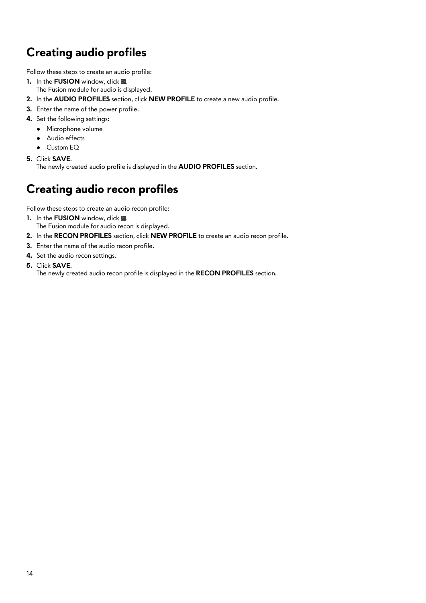## <span id="page-13-0"></span>**Creating audio profiles**

Follow these steps to create an audio profile:

- **1.** In the **FUSION** window, click ... The Fusion module for audio is displayed.
- **2.** In the **AUDIO PROFILES** section, click **NEW PROFILE** to create a new audio profile.
- **3.** Enter the name of the power profile.
- **4.** Set the following settings:
	- Microphone volume
	- Audio effects
	- Custom EQ
- **5.** Click **SAVE**.

The newly created audio profile is displayed in the **AUDIO PROFILES** section.

#### **Creating audio recon profiles**

Follow these steps to create an audio recon profile:

- 1. In the **FUSION** window, click ... The Fusion module for audio recon is displayed.
- **2.** In the **RECON PROFILES** section, click **NEW PROFILE** to create an audio recon profile.
- **3.** Enter the name of the audio recon profile.
- **4.** Set the audio recon settings.
- **5.** Click **SAVE**.

The newly created audio recon profile is displayed in the **RECON PROFILES** section.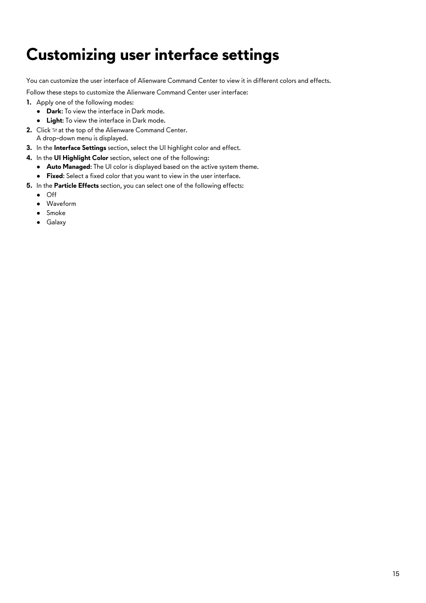# **Customizing user interface settings**

You can customize the user interface of Alienware Command Center to view it in different colors and effects.

Follow these steps to customize the Alienware Command Center user interface:

- **1.** Apply one of the following modes:
	- **Dark**: To view the interface in Dark mode.
	- **Light**: To view the interface in Dark mode.
- **2.** Click  $\mathbb{N}$  at the top of the Alienware Command Center. A drop-down menu is displayed.
- **3.** In the **Interface Settings** section, select the UI highlight color and effect.
- **4.** In the **UI Highlight Color** section, select one of the following:
	- **Auto Managed:** The UI color is displayed based on the active system theme.
	- **Fixed**: Select a fixed color that you want to view in the user interface.
- **5.** In the **Particle Effects** section, you can select one of the following effects:
	- Off
	- Waveform
	- Smoke
	- Galaxy